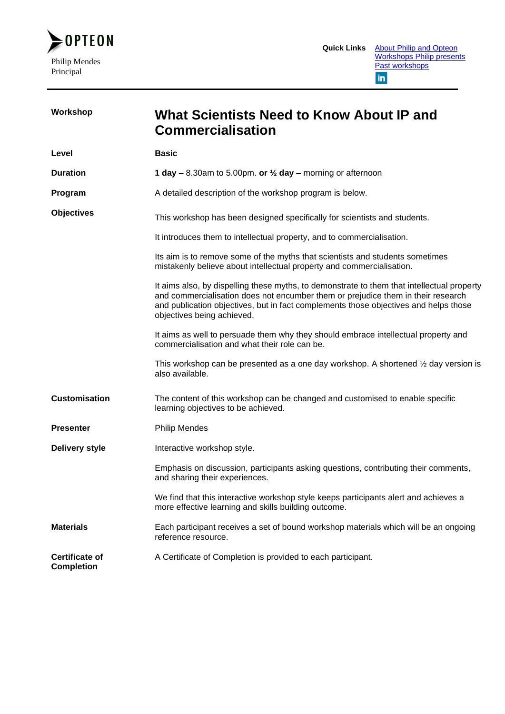

| Workshop                                   | <b>What Scientists Need to Know About IP and</b><br><b>Commercialisation</b>                                                                                                                                                                                                                         |
|--------------------------------------------|------------------------------------------------------------------------------------------------------------------------------------------------------------------------------------------------------------------------------------------------------------------------------------------------------|
| Level                                      | <b>Basic</b>                                                                                                                                                                                                                                                                                         |
| <b>Duration</b>                            | 1 day – 8.30am to 5.00pm. or $\frac{1}{2}$ day – morning or afternoon                                                                                                                                                                                                                                |
| Program                                    | A detailed description of the workshop program is below.                                                                                                                                                                                                                                             |
| <b>Objectives</b>                          | This workshop has been designed specifically for scientists and students.                                                                                                                                                                                                                            |
|                                            | It introduces them to intellectual property, and to commercialisation.                                                                                                                                                                                                                               |
|                                            | Its aim is to remove some of the myths that scientists and students sometimes<br>mistakenly believe about intellectual property and commercialisation.                                                                                                                                               |
|                                            | It aims also, by dispelling these myths, to demonstrate to them that intellectual property<br>and commercialisation does not encumber them or prejudice them in their research<br>and publication objectives, but in fact complements those objectives and helps those<br>objectives being achieved. |
|                                            | It aims as well to persuade them why they should embrace intellectual property and<br>commercialisation and what their role can be.                                                                                                                                                                  |
|                                            | This workshop can be presented as a one day workshop. A shortened $\frac{1}{2}$ day version is<br>also available.                                                                                                                                                                                    |
| <b>Customisation</b>                       | The content of this workshop can be changed and customised to enable specific<br>learning objectives to be achieved.                                                                                                                                                                                 |
| <b>Presenter</b>                           | <b>Philip Mendes</b>                                                                                                                                                                                                                                                                                 |
| <b>Delivery style</b>                      | Interactive workshop style.                                                                                                                                                                                                                                                                          |
|                                            | Emphasis on discussion, participants asking questions, contributing their comments,<br>and sharing their experiences.                                                                                                                                                                                |
|                                            | We find that this interactive workshop style keeps participants alert and achieves a<br>more effective learning and skills building outcome.                                                                                                                                                         |
| <b>Materials</b>                           | Each participant receives a set of bound workshop materials which will be an ongoing<br>reference resource.                                                                                                                                                                                          |
| <b>Certificate of</b><br><b>Completion</b> | A Certificate of Completion is provided to each participant.                                                                                                                                                                                                                                         |